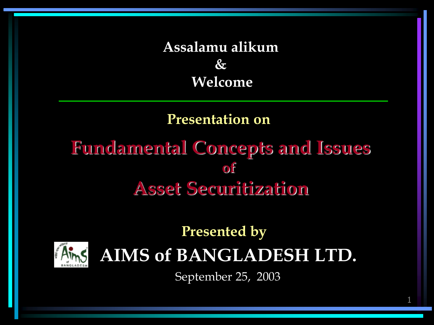#### **Assalamu alikum & Welcome**

#### **Presentation on**

#### **Fundamental Concepts and Issues**   $\alpha$   $\beta$ **Asset Securitization**

#### **Presented by AIMS of BANGLADESH LTD.**

September 25, 2003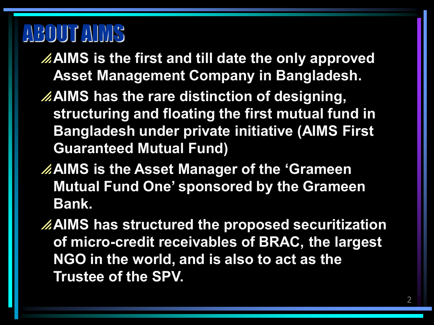# ABOUT AIMS

- **AIMS is the first and till date the only approved Asset Management Company in Bangladesh.**
- **AIMS has the rare distinction of designing, structuring and floating the first mutual fund in Bangladesh under private initiative (AIMS First Guaranteed Mutual Fund)**
- **AIMS is the Asset Manager of the 'Grameen Mutual Fund One' sponsored by the Grameen Bank.**
- **AIMS has structured the proposed securitization of micro-credit receivables of BRAC, the largest NGO in the world, and is also to act as the Trustee of the SPV.**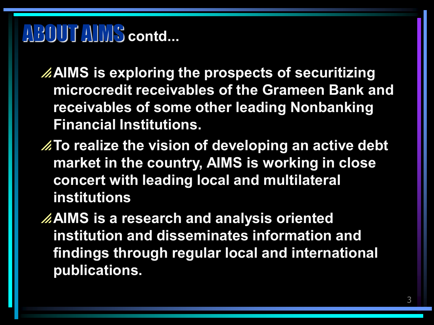# ABOUT AIMS **contd...**

**AIMS is exploring the prospects of securitizing microcredit receivables of the Grameen Bank and receivables of some other leading Nonbanking Financial Institutions.**

**To realize the vision of developing an active debt market in the country, AIMS is working in close concert with leading local and multilateral institutions**

**AIMS is a research and analysis oriented institution and disseminates information and findings through regular local and international publications.**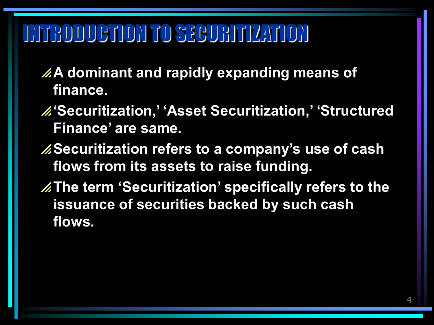# INTRODUCTION TO SECURITIZATION

- **A dominant and rapidly expanding means of finance.**
- **'Securitization,' 'Asset Securitization,' 'Structured Finance' are same.**
- *A***Securitization refers to a company's use of cash flows from its assets to raise funding.**
- **The term 'Securitization' specifically refers to the issuance of securities backed by such cash flows.**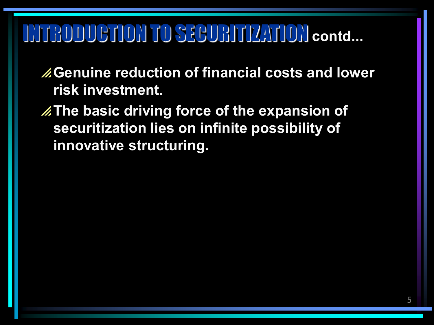# INTRODUCTION TO SECURITIZATION **contd...**

**Genuine reduction of financial costs and lower risk investment.**

**The basic driving force of the expansion of securitization lies on infinite possibility of innovative structuring.**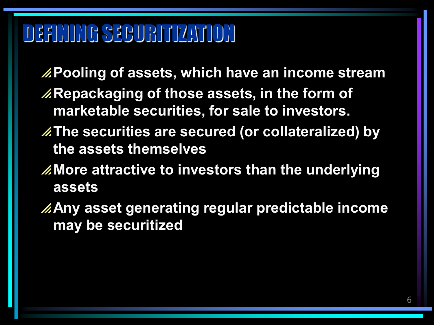# DEFINING SECURITIZATION

**Pooling of assets, which have an income stream Repackaging of those assets, in the form of marketable securities, for sale to investors.**

- **The securities are secured (or collateralized) by the assets themselves**
- **More attractive to investors than the underlying assets**
- **Any asset generating regular predictable income may be securitized**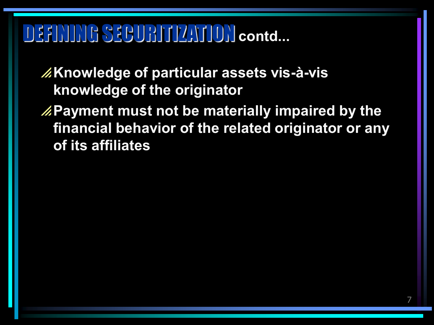# DEFINING SECURITIZATION **contd...**

- **Knowledge of particular assets vis-à-vis knowledge of the originator**
- **Payment must not be materially impaired by the financial behavior of the related originator or any of its affiliates**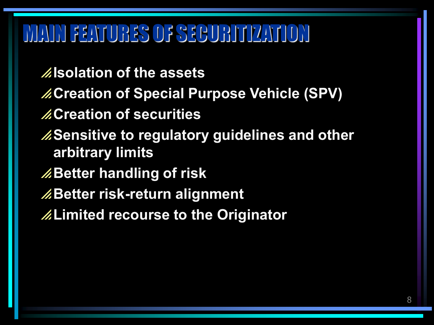# MAIN FEATURES OF SECURITIZATION

**Isolation of the assets Creation of Special Purpose Vehicle (SPV) Creation of securities Sensitive to regulatory guidelines and other arbitrary limits Better handling of risk** *A***Better risk-return alignment Limited recourse to the Originator**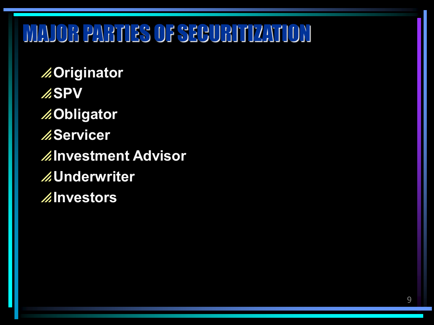# MAJOR PARTIES OF SECURITIZATION

**Originator ASPV Obligator AServicer Investment Advisor Underwriter Investors**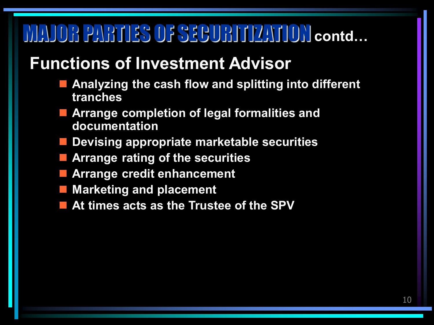# MAJOR PARTIES OF SECURITIZATION **contd…**

#### **Functions of Investment Advisor**

- **Analyzing the cash flow and splitting into different tranches**
- **Arrange completion of legal formalities and documentation**
- **Devising appropriate marketable securities**
- **Arrange rating of the securities**
- **Arrange credit enhancement**
- **Marketing and placement**
- **At times acts as the Trustee of the SPV**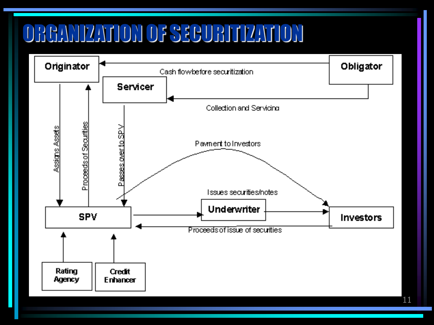# ORGANIZATION OF SECURITIZATION

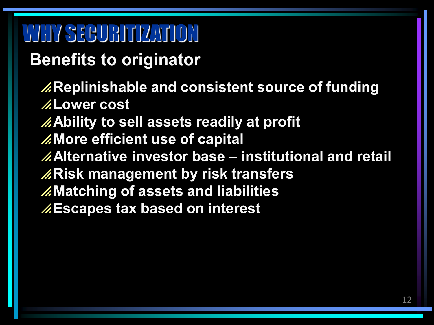# WHY SECURITIZATION

**Benefits to originator**

**Replinishable and consistent source of funding Lower cost Ability to sell assets readily at profit More efficient use of capital Alternative investor base – institutional and retail Risk management by risk transfers Matching of assets and liabilities Escapes tax based on interest**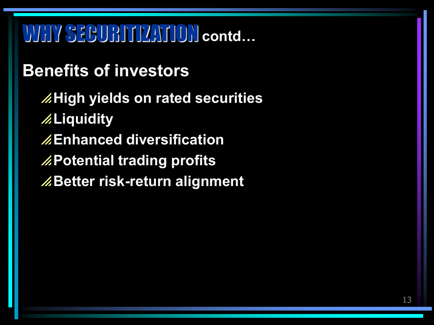# WHY SECURITIZATION **contd…**

#### **Benefits of investors**

**AHigh yields on rated securities Liquidity Enhanced diversification Potential trading profits Better risk-return alignment**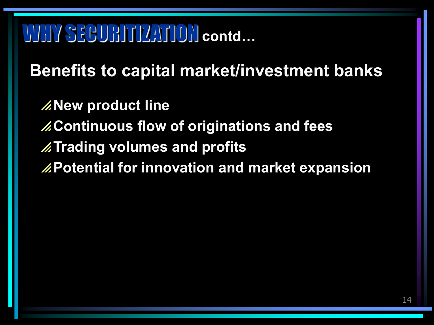# WHY SECURITIZATION **contd…**

**Benefits to capital market/investment banks**

**Z**New product line **Continuous flow of originations and fees Trading volumes and profits Potential for innovation and market expansion**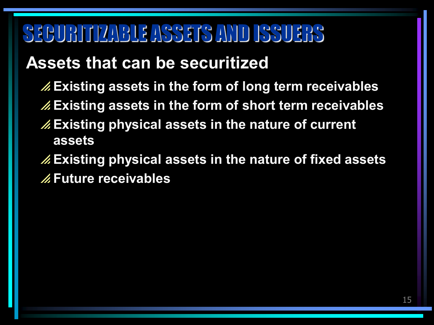# SECURITIZABLE ASSETS AND ISSUERS

#### **Assets that can be securitized**

- **Existing assets in the form of long term receivables**
- **Existing assets in the form of short term receivables**
- **Existing physical assets in the nature of current assets**
- **Existing physical assets in the nature of fixed assets Future receivables**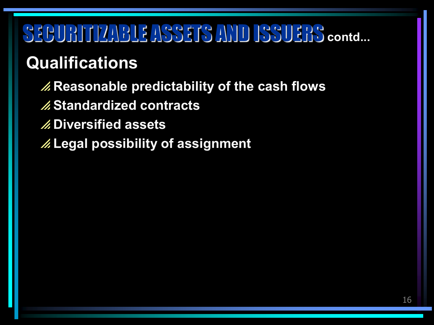# SECURITIZABLE ASSETS AND ISSUERS **contd...**

#### **Qualifications**

#### **Reasonable predictability of the cash flows**

- **Standardized contracts**
- **Diversified assets**
- **Legal possibility of assignment**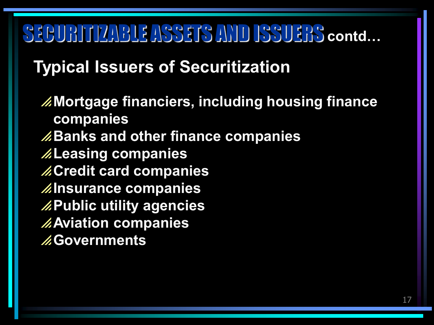# SECURITIZABLE ASSETS AND ISSUERS **contd…**

#### **Typical Issuers of Securitization**

**Mortgage financiers, including housing finance companies Banks and other finance companies Leasing companies Credit card companies Insurance companies Public utility agencies Aviation companies Governments**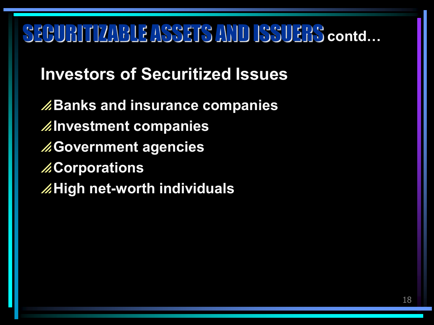# SECURITIZABLE ASSETS AND ISSUERS **contd…**

**Investors of Securitized Issues**

**Banks and insurance companies Investment companies Government agencies Z.Corporations AHigh net-worth individuals**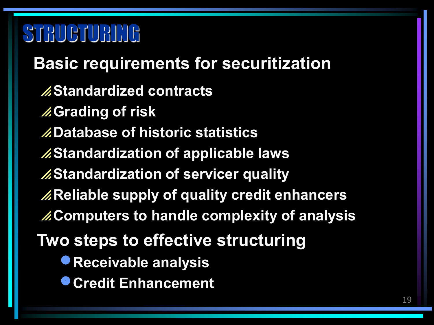# STRUCTURING

**Standardized contracts Grading of risk Database of historic statistics Standardization of applicable laws Standardization of servicer quality Reliable supply of quality credit enhancers Computers to handle complexity of analysis Basic requirements for securitization Two steps to effective structuring Receivable analysis Credit Enhancement**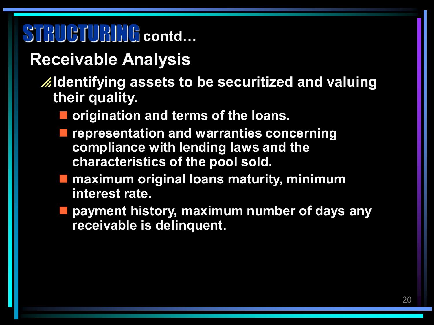# STRUCTURING **contd…**

#### **Receivable Analysis**

#### **Identifying assets to be securitized and valuing their quality.**

- **origination and terms of the loans.**
- **representation and warranties concerning compliance with lending laws and the characteristics of the pool sold.**
- **<u><b>** maximum original loans maturity, minimum</u> **interest rate.**
- **payment history, maximum number of days any receivable is delinquent.**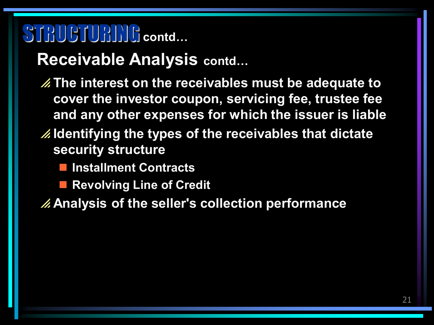# STRUCTURING contd...

#### **Receivable Analysis contd…**

- **The interest on the receivables must be adequate to cover the investor coupon, servicing fee, trustee fee and any other expenses for which the issuer is liable**
- **Identifying the types of the receivables that dictate security structure**
	- **Installment Contracts**
	- **Revolving Line of Credit**

**Analysis of the seller's collection performance**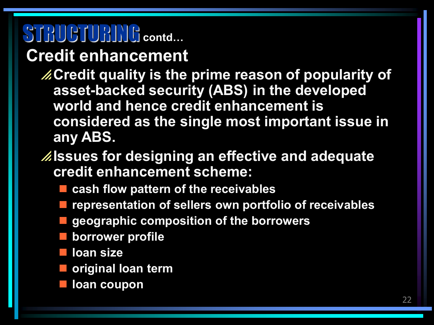# STRUCTURING contd...

#### **Credit enhancement**

- **Credit quality is the prime reason of popularity of asset-backed security (ABS) in the developed world and hence credit enhancement is considered as the single most important issue in any ABS.**
- **Issues for designing an effective and adequate credit enhancement scheme:**
	- **cash flow pattern of the receivables**
	- **representation of sellers own portfolio of receivables**
	- **geographic composition of the borrowers**
	- **borrower profile**
	- **loan size**
	- **original loan term**
	- **loan coupon**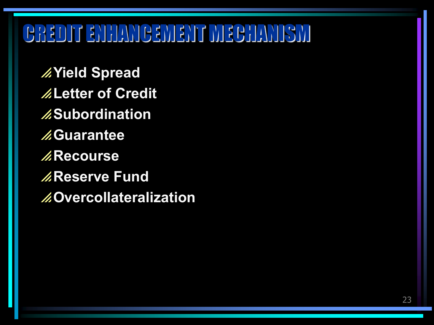# CREDIT ENHANCEMENT MECHANISM

**Yield Spread Letter of Credit Subordination Guarantee Recourse**  *A***Reserve Fund Overcollateralization**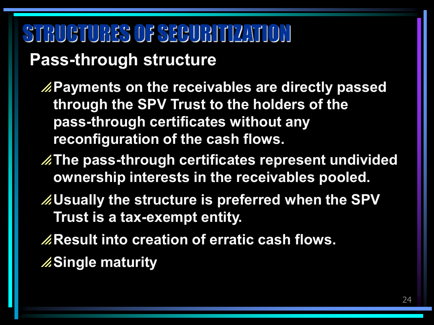# STRUCTURES OF SECURITIZATION

#### **Pass-through structure**

**Payments on the receivables are directly passed through the SPV Trust to the holders of the pass-through certificates without any reconfiguration of the cash flows.**

- **The pass-through certificates represent undivided ownership interests in the receivables pooled.**
- **Usually the structure is preferred when the SPV Trust is a tax-exempt entity.**
- *A***Result into creation of erratic cash flows.**
- **ASingle maturity**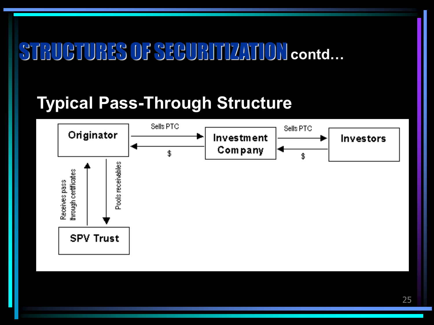#### **Typical Pass-Through Structure**

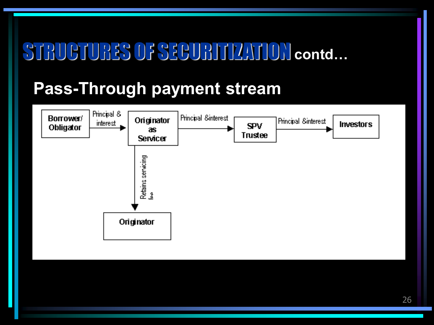#### **Pass-Through payment stream**

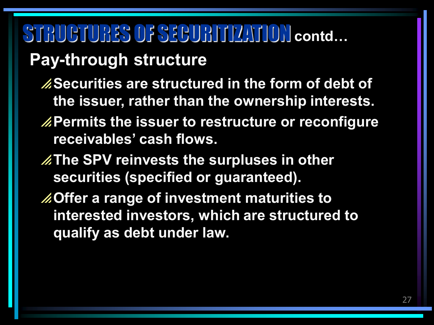#### **Pay-through structure**

- **Securities are structured in the form of debt of the issuer, rather than the ownership interests.**
- **EXPermits the issuer to restructure or reconfigure receivables' cash flows.**
- **ZThe SPV reinvests the surpluses in other securities (specified or guaranteed).**
- **Offer a range of investment maturities to interested investors, which are structured to qualify as debt under law.**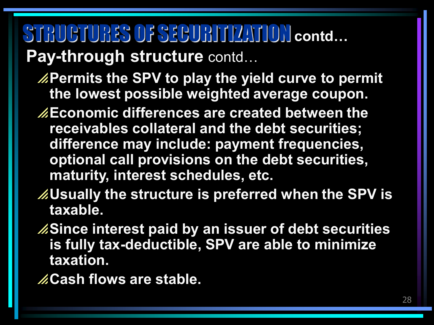# **Pay-through structure** contd… STRUCTURES OF SECURITIZATION **contd…**

- **Permits the SPV to play the yield curve to permit the lowest possible weighted average coupon.**
- **Economic differences are created between the receivables collateral and the debt securities; difference may include: payment frequencies, optional call provisions on the debt securities, maturity, interest schedules, etc.**
- **Usually the structure is preferred when the SPV is taxable.**
- **Since interest paid by an issuer of debt securities is fully tax-deductible, SPV are able to minimize taxation.**
- **Cash flows are stable.**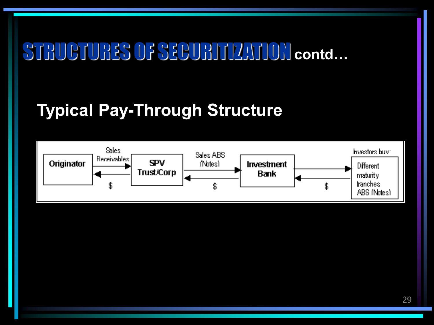#### **Typical Pay-Through Structure**

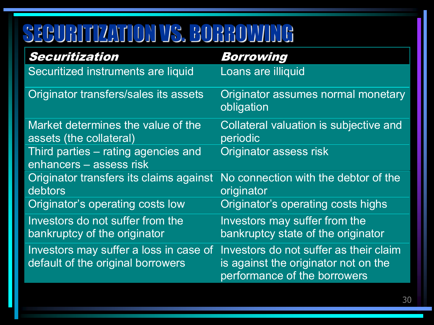# SECURITIZATION VS. BORROWING

| Securitization                                                              | Borrowing                                                                                                      |
|-----------------------------------------------------------------------------|----------------------------------------------------------------------------------------------------------------|
| Securitized instruments are liquid                                          | Loans are illiquid                                                                                             |
| Originator transfers/sales its assets                                       | Originator assumes normal monetary<br>obligation                                                               |
| Market determines the value of the<br>assets (the collateral)               | Collateral valuation is subjective and<br>periodic                                                             |
| Third parties – rating agencies and<br>enhancers - assess risk              | <b>Originator assess risk</b>                                                                                  |
| Originator transfers its claims against<br>debtors                          | No connection with the debtor of the<br>originator                                                             |
| Originator's operating costs low                                            | Originator's operating costs highs                                                                             |
| Investors do not suffer from the<br>bankruptcy of the originator            | Investors may suffer from the<br>bankruptcy state of the originator                                            |
| Investors may suffer a loss in case of<br>default of the original borrowers | Investors do not suffer as their claim<br>is against the originator not on the<br>performance of the borrowers |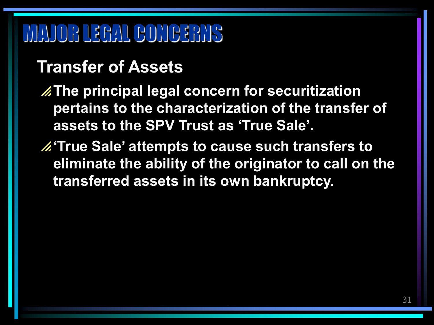# MAJOR LEGAL CONCERNS

#### **Transfer of Assets**

**The principal legal concern for securitization pertains to the characterization of the transfer of assets to the SPV Trust as 'True Sale'.**

**'True Sale' attempts to cause such transfers to eliminate the ability of the originator to call on the transferred assets in its own bankruptcy.**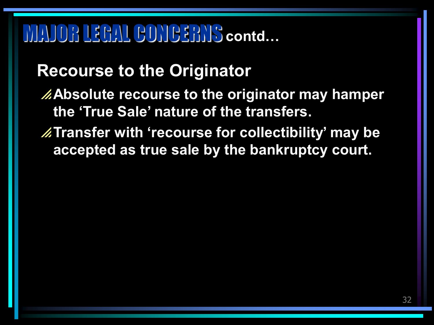#### **Recourse to the Originator**

**Absolute recourse to the originator may hamper the 'True Sale' nature of the transfers.**

**Transfer with 'recourse for collectibility' may be accepted as true sale by the bankruptcy court.**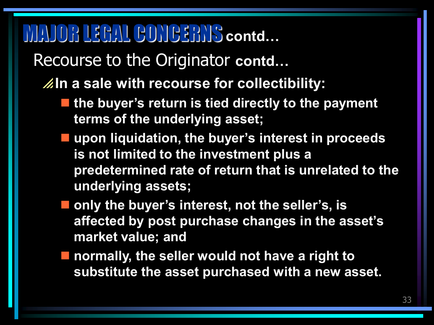Recourse to the Originator **contd…**

**In a sale with recourse for collectibility:**

- the buyer's return is tied directly to the payment **terms of the underlying asset;**
- **upon liquidation, the buyer's interest in proceeds is not limited to the investment plus a predetermined rate of return that is unrelated to the underlying assets;**
- only the buyer's interest, not the seller's, is **affected by post purchase changes in the asset's market value; and**
- **normally, the seller would not have a right to substitute the asset purchased with a new asset.**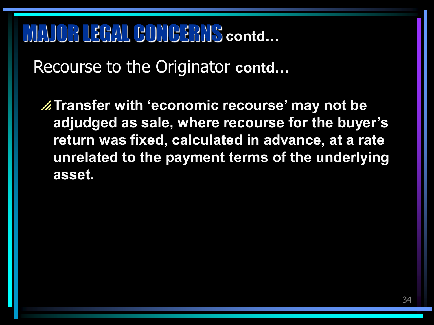Recourse to the Originator **contd…**

**Transfer with 'economic recourse' may not be adjudged as sale, where recourse for the buyer's return was fixed, calculated in advance, at a rate unrelated to the payment terms of the underlying asset.**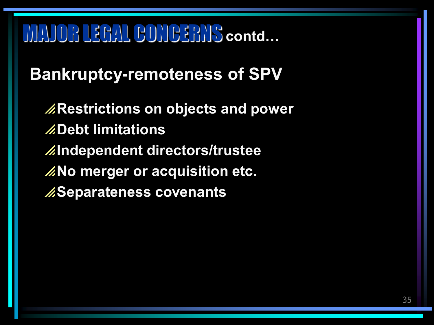#### **Bankruptcy-remoteness of SPV**

**Restrictions on objects and power Debt limitations Independent directors/trustee Z**No merger or acquisition etc. **Separateness covenants**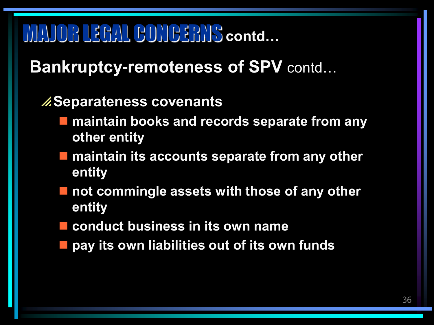#### **Bankruptcy-remoteness of SPV** contd…

#### **Separateness covenants**

- **maintain books and records separate from any other entity**
- $\blacksquare$  maintain its accounts separate from any other **entity**
- not commingle assets with those of any other **entity**
- **conduct business in its own name**
- **pay its own liabilities out of its own funds**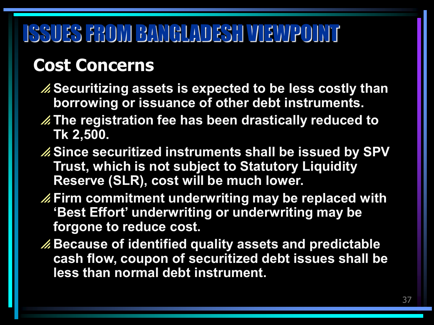# ISSUES FROM BANGLADESH VIEWPOINT

### **Cost Concerns**

- **Securitizing assets is expected to be less costly than borrowing or issuance of other debt instruments.**
- **The registration fee has been drastically reduced to Tk 2,500.**
- **Since securitized instruments shall be issued by SPV Trust, which is not subject to Statutory Liquidity Reserve (SLR), cost will be much lower.**
- **Firm commitment underwriting may be replaced with 'Best Effort' underwriting or underwriting may be forgone to reduce cost.**
- **Because of identified quality assets and predictable cash flow, coupon of securitized debt issues shall be less than normal debt instrument.**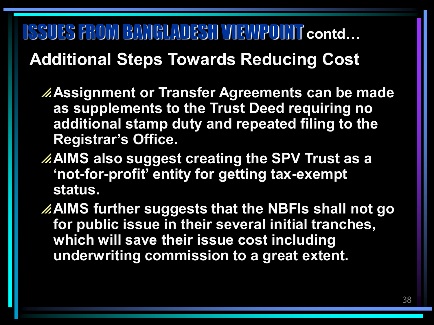# ISSUES FROM BANGLADESH VIEWPOINT **contd… Additional Steps Towards Reducing Cost**

- **Assignment or Transfer Agreements can be made as supplements to the Trust Deed requiring no additional stamp duty and repeated filing to the Registrar's Office.**
- **AIMS also suggest creating the SPV Trust as a 'not-for-profit' entity for getting tax-exempt status.**
- **AIMS further suggests that the NBFIs shall not go for public issue in their several initial tranches, which will save their issue cost including underwriting commission to a great extent.**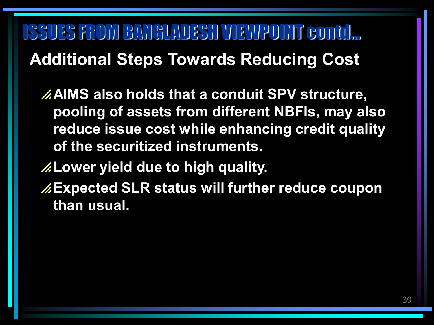ISSUES FROM BANGLADESH VIEWPOINT contd… **Additional Steps Towards Reducing Cost**

**AIMS also holds that a conduit SPV structure, pooling of assets from different NBFIs, may also reduce issue cost while enhancing credit quality of the securitized instruments.**

**Lower yield due to high quality.**

**Expected SLR status will further reduce coupon than usual.**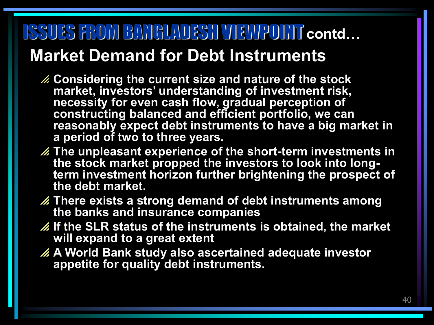## ISSUES FROM BANGLADESH VIEWPOINT **contd… Market Demand for Debt Instruments**

- **Considering the current size and nature of the stock market, investors' understanding of investment risk, necessity for even cash flow, gradual perception of constructing balanced and efficient portfolio, we can reasonably expect debt instruments to have a big market in a period of two to three years.**
- **The unpleasant experience of the short-term investments in the stock market propped the investors to look into longterm investment horizon further brightening the prospect of the debt market.**
- **There exists a strong demand of debt instruments among the banks and insurance companies**
- **If the SLR status of the instruments is obtained, the market will expand to a great extent**
- **A World Bank study also ascertained adequate investor appetite for quality debt instruments.**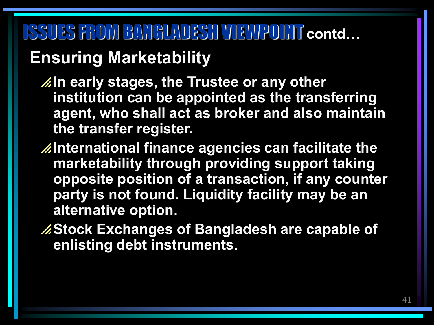## ISSUES FROM BANGLADESH VIEWPOINT **contd… Ensuring Marketability**

**Zhall early stages, the Trustee or any other institution can be appointed as the transferring agent, who shall act as broker and also maintain the transfer register.** 

**International finance agencies can facilitate the marketability through providing support taking opposite position of a transaction, if any counter party is not found. Liquidity facility may be an alternative option.**

**Stock Exchanges of Bangladesh are capable of enlisting debt instruments.**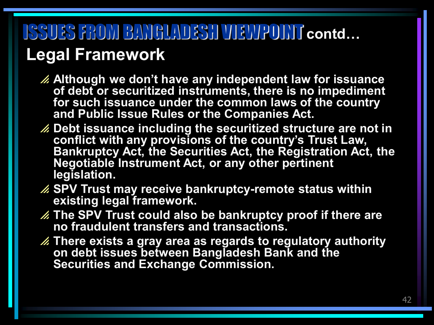# ISSUES FROM BANGLADESH VIEWPOINT **contd… Legal Framework**

- **Although we don't have any independent law for issuance of debt or securitized instruments, there is no impediment for such issuance under the common laws of the country and Public Issue Rules or the Companies Act.**
- **Debt issuance including the securitized structure are not in conflict with any provisions of the country's Trust Law, Bankruptcy Act, the Securities Act, the Registration Act, the Negotiable Instrument Act, or any other pertinent legislation.**
- **SPV Trust may receive bankruptcy-remote status within existing legal framework.**
- **The SPV Trust could also be bankruptcy proof if there are no fraudulent transfers and transactions.**
- **There exists a gray area as regards to regulatory authority on debt issues between Bangladesh Bank and the Securities and Exchange Commission.**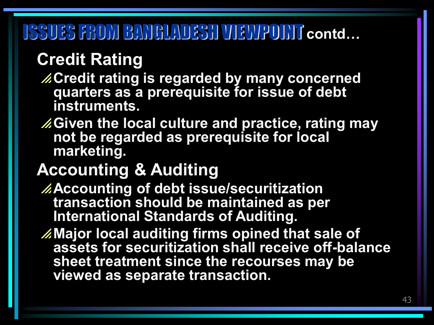# ISSUES FROM BANGLADESH VIEWPOINT **contd…**

#### **Credit Rating**

- **Credit rating is regarded by many concerned quarters as a prerequisite for issue of debt instruments.**
- **Given the local culture and practice, rating may not be regarded as prerequisite for local marketing.**

#### **Accounting & Auditing**

- **Accounting of debt issue/securitization transaction should be maintained as per International Standards of Auditing.**
- **Major local auditing firms opined that sale of assets for securitization shall receive off-balance sheet treatment since the recourses may be viewed as separate transaction.**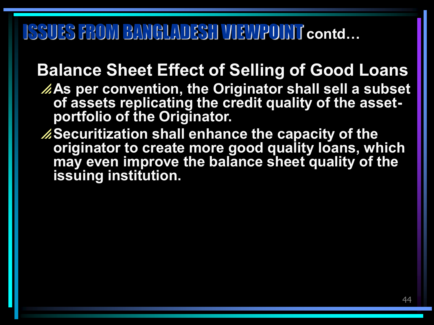## ISSUES FROM BANGLADESH VIEWPOINT **contd…**

#### **Balance Sheet Effect of Selling of Good Loans**

- **As per convention, the Originator shall sell a subset of assets replicating the credit quality of the assetportfolio of the Originator.**
- **Securitization shall enhance the capacity of the originator to create more good quality loans, which may even improve the balance sheet quality of the issuing institution.**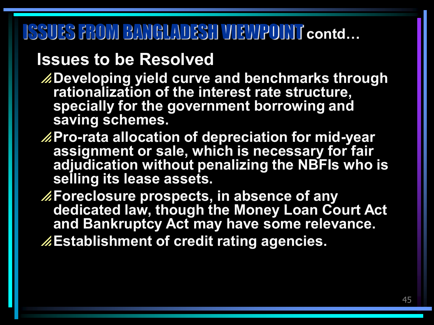# ISSUES FROM BANGLADESH VIEWPOINT **contd…**

#### **Issues to be Resolved**

- **Developing yield curve and benchmarks through rationalization of the interest rate structure, specially for the government borrowing and saving schemes.**
- **Pro-rata allocation of depreciation for mid-year assignment or sale, which is necessary for fair adjudication without penalizing the NBFIs who is selling its lease assets.**
- **Foreclosure prospects, in absence of any dedicated law, though the Money Loan Court Act and Bankruptcy Act may have some relevance.**
- **Establishment of credit rating agencies.**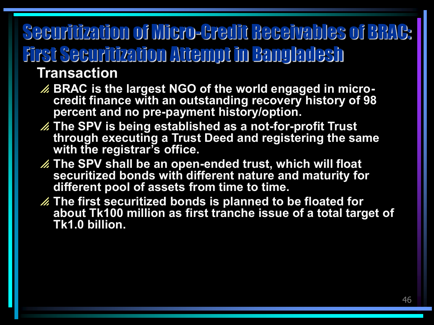# Securitization of Micro-Credit Receivables of BRAC: First Securitization Attempt in Bangladesh

#### **Transaction**

- **BRAC is the largest NGO of the world engaged in microcredit finance with an outstanding recovery history of 98 percent and no pre-payment history/option.**
- **The SPV is being established as a not-for-profit Trust through executing a Trust Deed and registering the same with the registrar's office.**
- **The SPV shall be an open-ended trust, which will float securitized bonds with different nature and maturity for different pool of assets from time to time.**
- **The first securitized bonds is planned to be floated for about Tk100 million as first tranche issue of a total target of Tk1.0 billion.**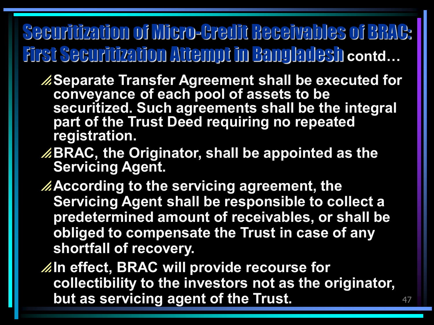# Securitization of Micro-Credit Receivables of BRAC: First Securitization Attempt in Bangladesh **contd…**

- **Separate Transfer Agreement shall be executed for conveyance of each pool of assets to be securitized. Such agreements shall be the integral part of the Trust Deed requiring no repeated registration.**
- **BRAC, the Originator, shall be appointed as the Servicing Agent.**
- **According to the servicing agreement, the Servicing Agent shall be responsible to collect a predetermined amount of receivables, or shall be obliged to compensate the Trust in case of any shortfall of recovery.**

**In effect, BRAC will provide recourse for collectibility to the investors not as the originator, but as servicing agent of the Trust.**

47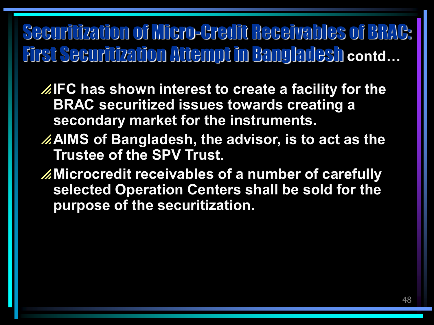# Securitization of Micro-Credit Receivables of BRAC: First Securitization Attempt in Bangladesh **contd…**

**IFC has shown interest to create a facility for the BRAC securitized issues towards creating a secondary market for the instruments.**

- **AIMS of Bangladesh, the advisor, is to act as the Trustee of the SPV Trust.**
- **Microcredit receivables of a number of carefully selected Operation Centers shall be sold for the purpose of the securitization.**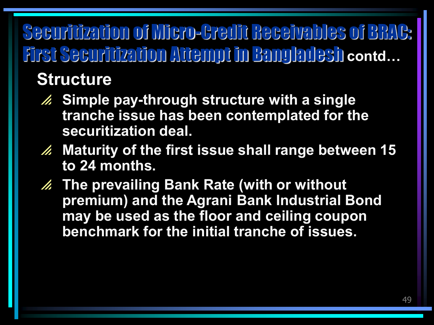# Securitization of Micro-Credit Receivables of BRAC: First Securitization Attempt in Bangladesh **contd…**

#### **Structure**

- **Simple pay-through structure with a single tranche issue has been contemplated for the securitization deal.**
- **Maturity of the first issue shall range between 15 to 24 months.**
- **The prevailing Bank Rate (with or without premium) and the Agrani Bank Industrial Bond may be used as the floor and ceiling coupon benchmark for the initial tranche of issues.**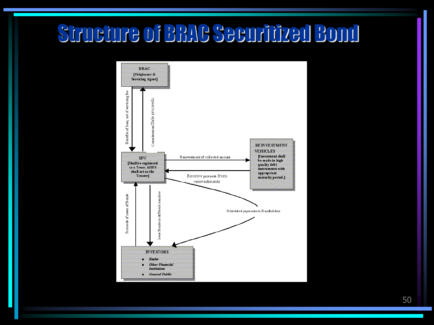# Structure of BRAC Securitized Bond



50